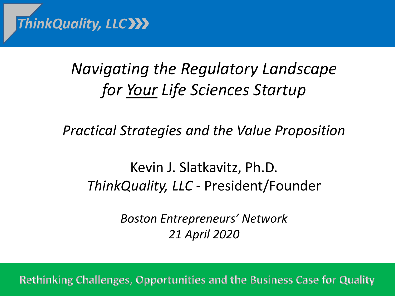

# *Navigating the Regulatory Landscape for Your Life Sciences Startup*

*Practical Strategies and the Value Proposition*

Kevin J. Slatkavitz, Ph.D. *ThinkQuality, LLC -* President/Founder

> *Boston Entrepreneurs' Network 21 April 2020*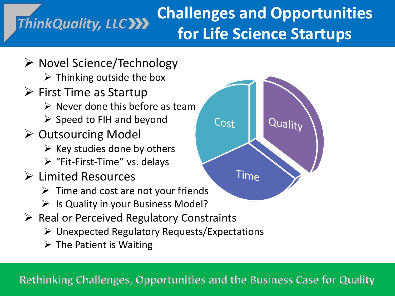#### *ThinkQuality, LLC*  **Challenges and Opportunities for Life Science Startups**

- $\triangleright$  Novel Science/Technology
	- $\triangleright$  Thinking outside the box
- $\triangleright$  First Time as Startup
	- $\triangleright$  Never done this before as team
	- $\triangleright$  Speed to FIH and beyond
- $\triangleright$  Outsourcing Model
	- $\triangleright$  Key studies done by others
	- $\triangleright$  "Fit-First-Time" vs. delays
- Limited Resources
	- $\triangleright$  Time and cost are not your friends
	- $\triangleright$  Is Quality in your Business Model?
- $\triangleright$  Real or Perceived Regulatory Constraints
	- Unexpected Regulatory Requests/Expectations
	- $\triangleright$  The Patient is Waiting



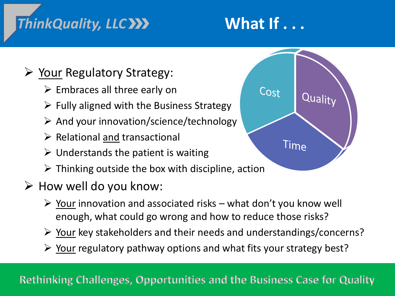# **What If . . .**

## ▶ Your Regulatory Strategy:

- $\triangleright$  Embraces all three early on
- $\triangleright$  Fully aligned with the Business Strategy
- $\triangleright$  And your innovation/science/technology
- $\triangleright$  Relational <u>and</u> transactional
- $\triangleright$  Understands the patient is waiting
- $\triangleright$  Thinking outside the box with discipline, action

## $\triangleright$  How well do you know:

- $\triangleright$  Your innovation and associated risks what don't you know well enough, what could go wrong and how to reduce those risks?
- $\triangleright$  Your key stakeholders and their needs and understandings/concerns?
- $\triangleright$  Your regulatory pathway options and what fits your strategy best?

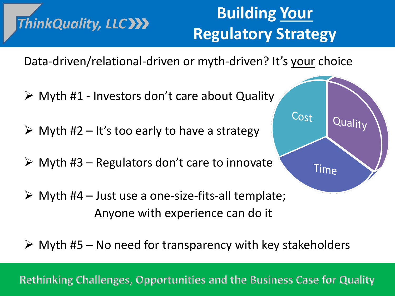# **Building Your Regulatory Strategy**

Cost

Time

Quality

Data-driven/relational-driven or myth-driven? It's your choice

Myth #1 - Investors don't care about Quality

*ThinkQuality, LLC* 

- $\triangleright$  Myth #2 It's too early to have a strategy
- $\triangleright$  Myth #3 Regulators don't care to innovate
- $\triangleright$  Myth #4 Just use a one-size-fits-all template; Anyone with experience can do it
- $\triangleright$  Myth #5 No need for transparency with key stakeholders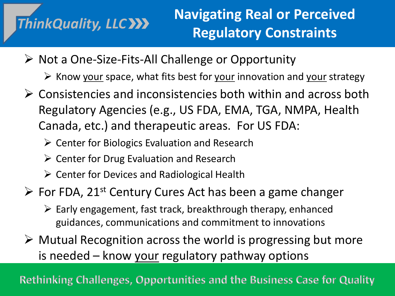- $\triangleright$  Not a One-Size-Fits-All Challenge or Opportunity
	- $\triangleright$  Know your space, what fits best for your innovation and your strategy
- $\triangleright$  Consistencies and inconsistencies both within and across both Regulatory Agencies (e.g., US FDA, EMA, TGA, NMPA, Health Canada, etc.) and therapeutic areas. For US FDA:
	- $\triangleright$  Center for Biologics Evaluation and Research
	- $\triangleright$  Center for Drug Evaluation and Research
	- $\triangleright$  Center for Devices and Radiological Health
- $\triangleright$  For FDA, 21<sup>st</sup> Century Cures Act has been a game changer
	- $\triangleright$  Early engagement, fast track, breakthrough therapy, enhanced guidances, communications and commitment to innovations
- $\triangleright$  Mutual Recognition across the world is progressing but more is needed – know your regulatory pathway options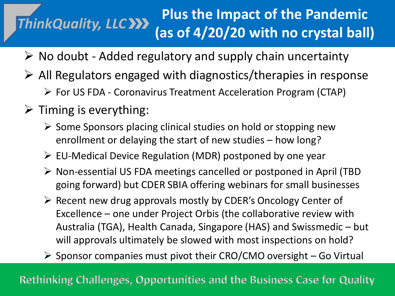#### *ThinkQuality, LLC*  **Plus the Impact of the Pandemic (as of 4/20/20 with no crystal ball)**

- $\triangleright$  No doubt Added regulatory and supply chain uncertainty
- $\triangleright$  All Regulators engaged with diagnostics/therapies in response
	- $\triangleright$  For US FDA Coronavirus Treatment Acceleration Program (CTAP)
- $\triangleright$  Timing is everything:
	- $\triangleright$  Some Sponsors placing clinical studies on hold or stopping new enrollment or delaying the start of new studies – how long?
	- EU-Medical Device Regulation (MDR) postponed by one year
	- Non-essential US FDA meetings cancelled or postponed in April (TBD going forward) but CDER SBIA offering webinars for small businesses
	- $\triangleright$  Recent new drug approvals mostly by CDER's Oncology Center of Excellence – one under Project Orbis (the collaborative review with Australia (TGA), Health Canada, Singapore (HAS) and Swissmedic – but will approvals ultimately be slowed with most inspections on hold?
	- $\triangleright$  Sponsor companies must pivot their CRO/CMO oversight Go Virtual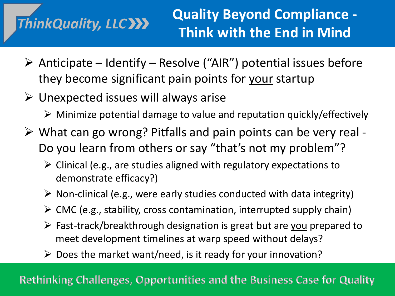# **Quality Beyond Compliance - Think with the End in Mind**

- $\triangleright$  Anticipate Identify Resolve ("AIR") potential issues before they become significant pain points for your startup
- $\triangleright$  Unexpected issues will always arise
	- $\triangleright$  Minimize potential damage to value and reputation quickly/effectively
- $\triangleright$  What can go wrong? Pitfalls and pain points can be very real -Do you learn from others or say "that's not my problem"?
	- $\triangleright$  Clinical (e.g., are studies aligned with regulatory expectations to demonstrate efficacy?)
	- $\triangleright$  Non-clinical (e.g., were early studies conducted with data integrity)
	- $\triangleright$  CMC (e.g., stability, cross contamination, interrupted supply chain)
	- $\triangleright$  Fast-track/breakthrough designation is great but are you prepared to meet development timelines at warp speed without delays?
	- $\triangleright$  Does the market want/need, is it ready for your innovation?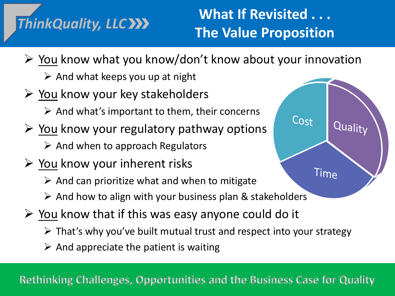## **What If Revisited . . . The Value Proposition**

Cost

Quality

Time

- $\triangleright$  You know what you know/don't know about your innovation
	- $\triangleright$  And what keeps you up at night
- $\triangleright$  You know your key stakeholders
	- $\triangleright$  And what's important to them, their concerns
- $\triangleright$  You know your regulatory pathway options
	- $\triangleright$  And when to approach Regulators
- $\triangleright$  You know your inherent risks
	- $\triangleright$  And can prioritize what and when to mitigate
	- $\triangleright$  And how to align with your business plan & stakeholders
- $\triangleright$  You know that if this was easy anyone could do it
	- $\triangleright$  That's why you've built mutual trust and respect into your strategy
	- $\triangleright$  And appreciate the patient is waiting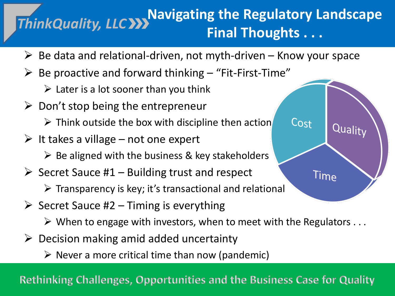#### *ThinkQuality, LLC*  **Navigating the Regulatory Landscape Final Thoughts . . .**

- $\triangleright$  Be data and relational-driven, not myth-driven Know your space
- $\triangleright$  Be proactive and forward thinking "Fit-First-Time"
	- $\triangleright$  Later is a lot sooner than you think
- $\triangleright$  Don't stop being the entrepreneur
	- $\triangleright$  Think outside the box with discipline then action
- $\triangleright$  It takes a village not one expert
	- $\triangleright$  Be aligned with the business & key stakeholders
- $\triangleright$  Secret Sauce #1 Building trust and respect
	- $\triangleright$  Transparency is key; it's transactional and relational
- $\triangleright$  Secret Sauce #2 Timing is everything
	- $\triangleright$  When to engage with investors, when to meet with the Regulators  $\dots$

Cost

Quality

Time

- $\triangleright$  Decision making amid added uncertainty
	- $\triangleright$  Never a more critical time than now (pandemic)